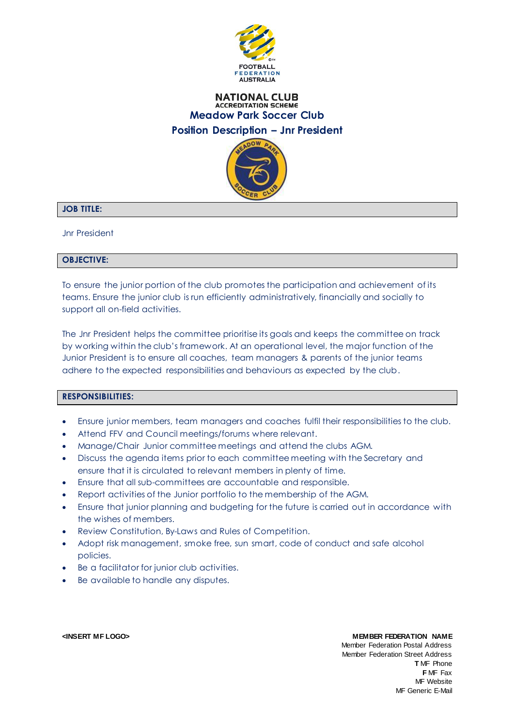

# **NATIONAL CLUB ACCREDITATION SCHEME Meadow Park Soccer Club Position Description – Jnr President**



# **JOB TITLE:**

Jnr President

## **OBJECTIVE:**

To ensure the junior portion of the club promotes the participation and achievement of its teams. Ensure the junior club is run efficiently administratively, financially and socially to support all on-field activities.

The Jnr President helps the committee prioritise its goals and keeps the committee on track by working within the club's framework. At an operational level, the major function of the Junior President is to ensure all coaches, team managers & parents of the junior teams adhere to the expected responsibilities and behaviours as expected by the club.

# **RESPONSIBILITIES:**

- Ensure junior members, team managers and coaches fulfil their responsibilities to the club.
- Attend FFV and Council meetings/forums where relevant.
- Manage/Chair Junior committee meetings and attend the clubs AGM.
- Discuss the agenda items prior to each committee meeting with the Secretary and ensure that it is circulated to relevant members in plenty of time.
- Ensure that all sub-committees are accountable and responsible.
- Report activities of the Junior portfolio to the membership of the AGM.
- Ensure that junior planning and budgeting for the future is carried out in accordance with the wishes of members.
- Review Constitution, By-Laws and Rules of Competition.
- Adopt risk management, smoke free, sun smart, code of conduct and safe alcohol policies.
- Be a facilitator for junior club activities.
- Be available to handle any disputes.

## **<INSERT MF LOGO> MEMBER FEDERATION NAME**

Member Federation Postal Address Member Federation Street Address **T** MF Phone **F** MF Fax MF Website MF Generic E-Mail